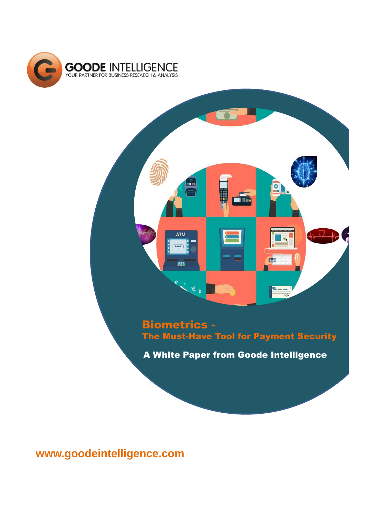

 $\overline{\bullet}$ **Turn ATM N** 臣德 **FEB**  $\epsilon$ ,  $- - 44$ 

# Biometrics - The Must-Have Tool for Payment Security

A White Paper from Goode Intelligence

**www.goodeintelligence.com**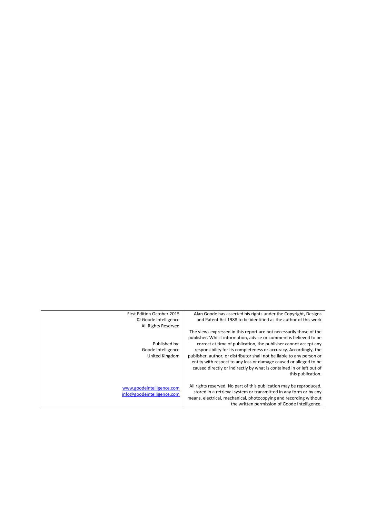| Alan Goode has asserted his rights under the Copyright, Designs                                                                                                                                                                                                                                                                                                                                                                                                                                                               | First Edition October 2015                              |
|-------------------------------------------------------------------------------------------------------------------------------------------------------------------------------------------------------------------------------------------------------------------------------------------------------------------------------------------------------------------------------------------------------------------------------------------------------------------------------------------------------------------------------|---------------------------------------------------------|
| and Patent Act 1988 to be identified as the author of this work                                                                                                                                                                                                                                                                                                                                                                                                                                                               | © Goode Intelligence                                    |
|                                                                                                                                                                                                                                                                                                                                                                                                                                                                                                                               | All Rights Reserved                                     |
| The views expressed in this report are not necessarily those of the<br>publisher. Whilst information, advice or comment is believed to be<br>correct at time of publication, the publisher cannot accept any<br>responsibility for its completeness or accuracy. Accordingly, the<br>publisher, author, or distributor shall not be liable to any person or<br>entity with respect to any loss or damage caused or alleged to be<br>caused directly or indirectly by what is contained in or left out of<br>this publication. | Published by:<br>Goode Intelligence<br>United Kingdom   |
| All rights reserved. No part of this publication may be reproduced,<br>stored in a retrieval system or transmitted in any form or by any<br>means, electrical, mechanical, photocopying and recording without<br>the written permission of Goode Intelligence.                                                                                                                                                                                                                                                                | www.goodeintelligence.com<br>info@goodeintelligence.com |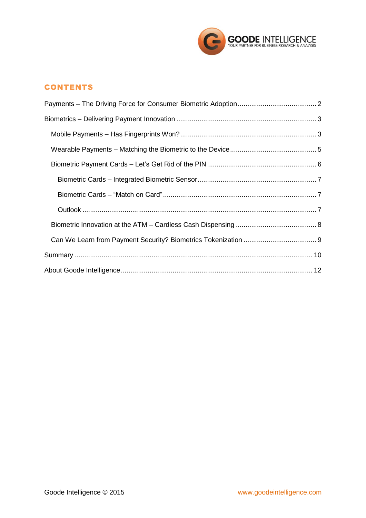

# **CONTENTS**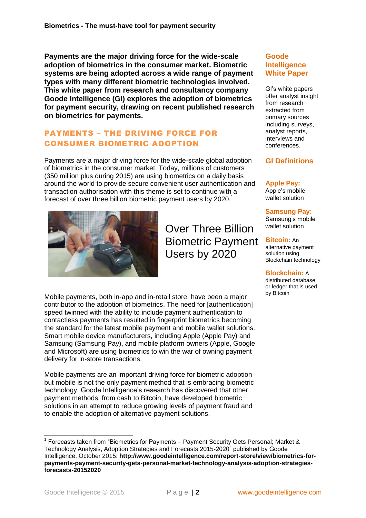**Payments are the major driving force for the wide-scale adoption of biometrics in the consumer market. Biometric systems are being adopted across a wide range of payment types with many different biometric technologies involved. This white paper from research and consultancy company Goode Intelligence (GI) explores the adoption of biometrics for payment security, drawing on recent published research on biometrics for payments.**

### <span id="page-3-0"></span>PAYMENTS – THE DRIVING FORCE FOR CONSUMER BIOMETRIC ADOPTION

Payments are a major driving force for the wide-scale global adoption of biometrics in the consumer market. Today, millions of customers (350 million plus during 2015) are using biometrics on a daily basis around the world to provide secure convenient user authentication and transaction authorisation with this theme is set to continue with a forecast of over three billion biometric payment users by 2020.<sup>1</sup>



Over Three Billion Biometric Payment Users by 2020

Mobile payments, both in-app and in-retail store, have been a major contributor to the adoption of biometrics. The need for [authentication] speed twinned with the ability to include payment authentication to contactless payments has resulted in fingerprint biometrics becoming the standard for the latest mobile payment and mobile wallet solutions. Smart mobile device manufacturers, including Apple (Apple Pay) and Samsung (Samsung Pay), and mobile platform owners (Apple, Google and Microsoft) are using biometrics to win the war of owning payment delivery for in-store transactions.

Mobile payments are an important driving force for biometric adoption but mobile is not the only payment method that is embracing biometric technology. Goode Intelligence's research has discovered that other payment methods, from cash to Bitcoin, have developed biometric solutions in an attempt to reduce growing levels of payment fraud and to enable the adoption of alternative payment solutions.

### **Goode Intelligence White Paper**

GI's white papers offer analyst insight from research extracted from primary sources including surveys, analyst reports, interviews and conferences.

## **GI Definitions**

### **Apple Pay:**

Apple's mobile wallet solution

**Samsung Pay:** Samsung's mobile wallet solution

**Bitcoin:** An alternative payment solution using

Blockchain technology

#### **Blockchain:** A

distributed database or ledger that is used by Bitcoin

-

<sup>&</sup>lt;sup>1</sup> Forecasts taken from "Biometrics for Payments – Payment Security Gets Personal; Market & Technology Analysis, Adoption Strategies and Forecasts 2015-2020" published by Goode Intelligence, October 2015: **[http://www.goodeintelligence.com/report-store/view/biometrics-for](http://www.goodeintelligence.com/report-store/view/biometrics-for-payments-payment-security-gets-personal-market-technology-analysis-adoption-strategies-forecasts-20152020)[payments-payment-security-gets-personal-market-technology-analysis-adoption-strategies](http://www.goodeintelligence.com/report-store/view/biometrics-for-payments-payment-security-gets-personal-market-technology-analysis-adoption-strategies-forecasts-20152020)[forecasts-20152020](http://www.goodeintelligence.com/report-store/view/biometrics-for-payments-payment-security-gets-personal-market-technology-analysis-adoption-strategies-forecasts-20152020)**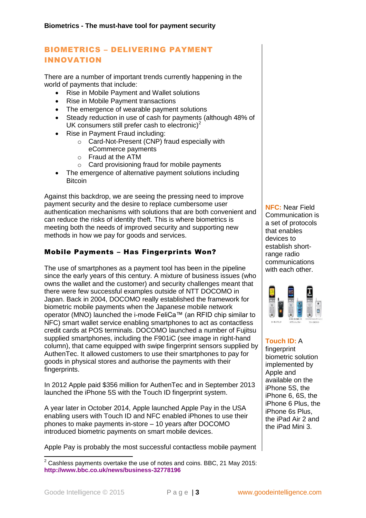## <span id="page-4-0"></span>BIOMETRICS – DELIVERING PAYMENT INNOVATION

There are a number of important trends currently happening in the world of payments that include:

- Rise in Mobile Payment and Wallet solutions
- Rise in Mobile Payment transactions
- The emergence of wearable payment solutions
- Steady reduction in use of cash for payments (although 48% of UK consumers still prefer cash to electronic)<sup>2</sup>
- Rise in Payment Fraud including:
	- o Card-Not-Present (CNP) fraud especially with eCommerce payments
	- o Fraud at the ATM
	- o Card provisioning fraud for mobile payments
- The emergence of alternative payment solutions including **Bitcoin**

Against this backdrop, we are seeing the pressing need to improve payment security and the desire to replace cumbersome user authentication mechanisms with solutions that are both convenient and can reduce the risks of identity theft. This is where biometrics is meeting both the needs of improved security and supporting new methods in how we pay for goods and services.

### <span id="page-4-1"></span>Mobile Payments – Has Fingerprints Won?

The use of smartphones as a payment tool has been in the pipeline since the early years of this century. A mixture of business issues (who owns the wallet and the customer) and security challenges meant that there were few successful examples outside of NTT DOCOMO in Japan. Back in 2004, DOCOMO really established the framework for biometric mobile payments when the Japanese mobile network operator (MNO) launched the i-mode FeliCa™ (an RFID chip similar to NFC) smart wallet service enabling smartphones to act as contactless credit cards at POS terminals. DOCOMO launched a number of Fujitsu supplied smartphones, including the F901iC (see image in right-hand column), that came equipped with swipe fingerprint sensors supplied by AuthenTec. It allowed customers to use their smartphones to pay for goods in physical stores and authorise the payments with their fingerprints.

In 2012 Apple paid \$356 million for AuthenTec and in September 2013 launched the iPhone 5S with the Touch ID fingerprint system.

A year later in October 2014, Apple launched Apple Pay in the USA enabling users with Touch ID and NFC enabled iPhones to use their phones to make payments in-store – 10 years after DOCOMO introduced biometric payments on smart mobile devices.

Apple Pay is probably the most successful contactless mobile payment

**NFC:** Near Field Communication is a set of protocols that enables devices to establish shortrange radio communications with each other.



#### **Touch ID:** A fingerprint

biometric solution implemented by Apple and available on the iPhone 5S, the iPhone 6, 6S, the iPhone 6 Plus, the iPhone 6s Plus, the iPad Air 2 and the iPad Mini 3.

-

 $2$  Cashless payments overtake the use of notes and coins. BBC, 21 May 2015: **<http://www.bbc.co.uk/news/business-32778196>**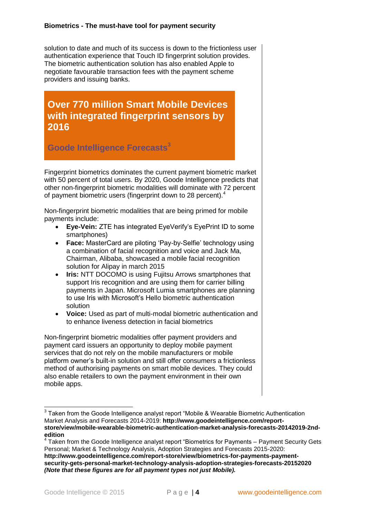#### **Biometrics - The must-have tool for payment security**

solution to date and much of its success is down to the frictionless user authentication experience that Touch ID fingerprint solution provides. The biometric authentication solution has also enabled Apple to negotiate favourable transaction fees with the payment scheme providers and issuing banks.

**Over 770 million Smart Mobile Devices with integrated fingerprint sensors by 2016**

**Goode Intelligence Forecasts<sup>3</sup>**

Fingerprint biometrics dominates the current payment biometric market with 50 percent of total users. By 2020, Goode Intelligence predicts that other non-fingerprint biometric modalities will dominate with 72 percent of payment biometric users (fingerprint down to 28 percent).<sup>4</sup>

Non-fingerprint biometric modalities that are being primed for mobile payments include:

- **Eye-Vein:** ZTE has integrated EyeVerify's EyePrint ID to some smartphones)
- **Face:** MasterCard are piloting 'Pay-by-Selfie' technology using a combination of facial recognition and voice and Jack Ma, Chairman, Alibaba, showcased a mobile facial recognition solution for Alipay in march 2015
- **Iris:** NTT DOCOMO is using Fujitsu Arrows smartphones that support Iris recognition and are using them for carrier billing payments in Japan. Microsoft Lumia smartphones are planning to use Iris with Microsoft's Hello biometric authentication solution
- **Voice:** Used as part of multi-modal biometric authentication and to enhance liveness detection in facial biometrics

Non-fingerprint biometric modalities offer payment providers and payment card issuers an opportunity to deploy mobile payment services that do not rely on the mobile manufacturers or mobile platform owner's built-in solution and still offer consumers a frictionless method of authorising payments on smart mobile devices. They could also enable retailers to own the payment environment in their own mobile apps.

 $\overline{1}$ 

 $3$  Taken from the Goode Intelligence analyst report "Mobile & Wearable Biometric Authentication Market Analysis and Forecasts 2014-2019: **[http://www.goodeintelligence.com/report](http://www.goodeintelligence.com/report-store/view/mobile-wearable-biometric-authentication-market-analysis-forecasts-20142019-2nd-edition)[store/view/mobile-wearable-biometric-authentication-market-analysis-forecasts-20142019-2nd](http://www.goodeintelligence.com/report-store/view/mobile-wearable-biometric-authentication-market-analysis-forecasts-20142019-2nd-edition)[edition](http://www.goodeintelligence.com/report-store/view/mobile-wearable-biometric-authentication-market-analysis-forecasts-20142019-2nd-edition)**

 $4$  Taken from the Goode Intelligence analyst report "Biometrics for Payments – Payment Security Gets Personal; Market & Technology Analysis, Adoption Strategies and Forecasts 2015-2020: **[http://www.goodeintelligence.com/report-store/view/biometrics-for-payments-payment-](http://www.goodeintelligence.com/report-store/view/biometrics-for-payments-payment-security-gets-personal-market-technology-analysis-adoption-strategies-forecasts-20152020)**

**[security-gets-personal-market-technology-analysis-adoption-strategies-forecasts-20152020](http://www.goodeintelligence.com/report-store/view/biometrics-for-payments-payment-security-gets-personal-market-technology-analysis-adoption-strategies-forecasts-20152020)**  *(Note that these figures are for all payment types not just Mobile).*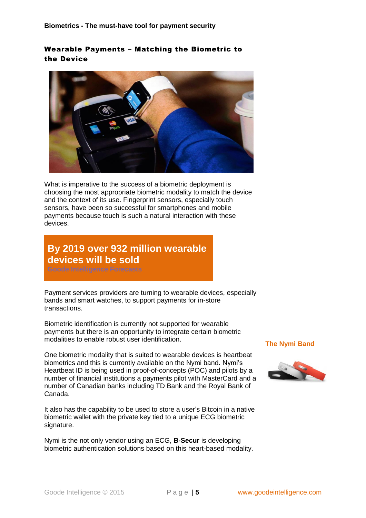## <span id="page-6-0"></span>Wearable Payments – Matching the Biometric to the Device



What is imperative to the success of a biometric deployment is choosing the most appropriate biometric modality to match the device and the context of its use. Fingerprint sensors, especially touch sensors, have been so successful for smartphones and mobile payments because touch is such a natural interaction with these devices.

# **By 2019 over 932 million wearable devices will be sold**

Payment services providers are turning to wearable devices, especially bands and smart watches, to support payments for in-store transactions.

Biometric identification is currently not supported for wearable payments but there is an opportunity to integrate certain biometric modalities to enable robust user identification.

One biometric modality that is suited to wearable devices is heartbeat biometrics and this is currently available on the Nymi band. Nymi's Heartbeat ID is being used in proof-of-concepts (POC) and pilots by a number of financial institutions a payments pilot with MasterCard and a number of Canadian banks including TD Bank and the Royal Bank of Canada.

It also has the capability to be used to store a user's Bitcoin in a native biometric wallet with the private key tied to a unique ECG biometric signature.

Nymi is the not only vendor using an ECG, **[B-Secur](http://www.b-secur.com/)** is developing biometric authentication solutions based on this heart-based modality.

#### **The Nymi Band**

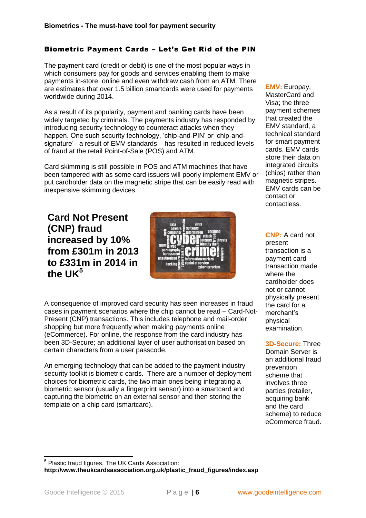# <span id="page-7-0"></span>Biometric Payment Cards – Let's Get Rid of the PIN

The payment card (credit or debit) is one of the most popular ways in which consumers pay for goods and services enabling them to make payments in-store, online and even withdraw cash from an ATM. There are estimates that over 1.5 billion smartcards were used for payments worldwide during 2014.

As a result of its popularity, payment and banking cards have been widely targeted by criminals. The payments industry has responded by introducing security technology to counteract attacks when they happen. One such security technology, 'chip-and-PIN' or 'chip-andsignature'– a result of EMV standards – has resulted in reduced levels of fraud at the retail Point-of-Sale (POS) and ATM.

Card skimming is still possible in POS and ATM machines that have been tampered with as some card issuers will poorly implement EMV or put cardholder data on the magnetic stripe that can be easily read with inexpensive skimming devices.

**Card Not Present (CNP) fraud increased by 10% from £301m in 2013 to £331m in 2014 in the LIK<sup>5</sup>** 



A consequence of improved card security has seen increases in fraud cases in payment scenarios where the chip cannot be read – Card-Not-Present (CNP) transactions. This includes telephone and mail-order shopping but more frequently when making payments online (eCommerce). For online, the response from the card industry has been 3D-Secure; an additional layer of user authorisation based on certain characters from a user passcode.

An emerging technology that can be added to the payment industry security toolkit is biometric cards. There are a number of deployment choices for biometric cards, the two main ones being integrating a biometric sensor (usually a fingerprint sensor) into a smartcard and capturing the biometric on an external sensor and then storing the template on a chip card (smartcard).

**EMV:** Europay, MasterCard and Visa; the three payment schemes that created the EMV standard, a technical standard for smart payment cards. EMV cards store their data on integrated circuits (chips) rather than magnetic stripes. EMV cards can be contact or contactless.

**CNP:** A card not present transaction is a payment card transaction made where the cardholder does not or cannot physically present the card for a merchant's physical examination.

#### **3D-Secure:** Three

Domain Server is an additional fraud prevention scheme that involves three parties (retailer, acquiring bank and the card scheme) to reduce eCommerce fraud.

 5 Plastic fraud figures, The UK Cards Association: **[http://www.theukcardsassociation.org.uk/plastic\\_fraud\\_figures/index.asp](http://www.theukcardsassociation.org.uk/plastic_fraud_figures/index.asp)**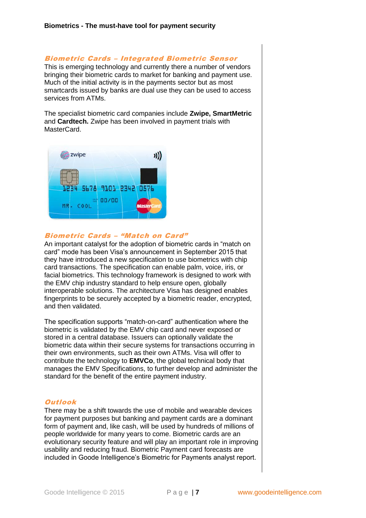#### <span id="page-8-0"></span>Biometric Cards – Integrated Biometric Sensor

This is emerging technology and currently there a number of vendors bringing their biometric cards to market for banking and payment use. Much of the initial activity is in the payments sector but as most smartcards issued by banks are dual use they can be used to access services from ATMs.

The specialist biometric card companies include **[Zwipe,](http://www.zwipe.no/) [SmartMetric](http://www.smartmetric.com/)** and **[Cardtech.](http://www.card-tech.it/en)** Zwipe has been involved in payment trials with MasterCard.



#### <span id="page-8-1"></span>Biometric Cards – "Match on Card"

An important catalyst for the adoption of biometric cards in "match on card" mode has been Visa's announcement in September 2015 that they have introduced a new specification to use biometrics with chip card transactions. The specification can enable palm, voice, iris, or facial biometrics. This technology framework is designed to work with the EMV chip industry standard to help ensure open, globally interoperable solutions. The architecture Visa has designed enables fingerprints to be securely accepted by a biometric reader, encrypted, and then validated.

The specification supports "match-on-card" authentication where the biometric is validated by the EMV chip card and never exposed or stored in a central database. Issuers can optionally validate the biometric data within their secure systems for transactions occurring in their own environments, such as their own ATMs. Visa will offer to contribute the technology to **[EMVCo](https://www.emvco.com/)**, the global technical body that manages the EMV Specifications, to further develop and administer the standard for the benefit of the entire payment industry.

#### <span id="page-8-2"></span>**Outlook**

There may be a shift towards the use of mobile and wearable devices for payment purposes but banking and payment cards are a dominant form of payment and, like cash, will be used by hundreds of millions of people worldwide for many years to come. Biometric cards are an evolutionary security feature and will play an important role in improving usability and reducing fraud. Biometric Payment card forecasts are included in Goode Intelligence's Biometric for Payments analyst report.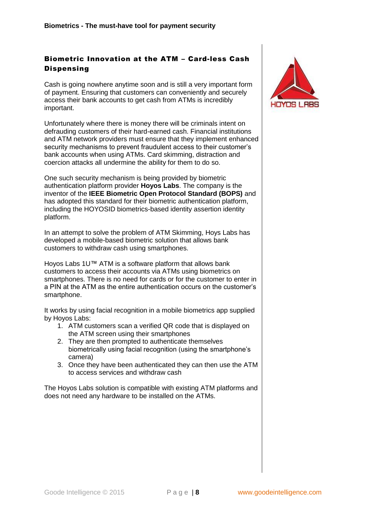# <span id="page-9-0"></span>Biometric Innovation at the ATM – Card-less Cash **Dispensing**

Cash is going nowhere anytime soon and is still a very important form of payment. Ensuring that customers can conveniently and securely access their bank accounts to get cash from ATMs is incredibly important.

Unfortunately where there is money there will be criminals intent on defrauding customers of their hard-earned cash. Financial institutions and ATM network providers must ensure that they implement enhanced security mechanisms to prevent fraudulent access to their customer's bank accounts when using ATMs. Card skimming, distraction and coercion attacks all undermine the ability for them to do so.

One such security mechanism is being provided by biometric authentication platform provider **[Hoyos Labs](http://www.hoyoslabs.com/)**. The company is the inventor of the **[IEEE Biometric Open Protocol Standard \(BOPS\)](https://standards.ieee.org/develop/wg/BOP.html)** and has adopted this standard for their biometric authentication platform, including the HOYOSID biometrics-based identity assertion identity platform.

In an attempt to solve the problem of ATM Skimming, Hoys Labs has developed a mobile-based biometric solution that allows bank customers to withdraw cash using smartphones.

Hoyos Labs 1U™ ATM is a software platform that allows bank customers to access their accounts via ATMs using biometrics on smartphones. There is no need for cards or for the customer to enter in a PIN at the ATM as the entire authentication occurs on the customer's smartphone.

It works by using facial recognition in a mobile biometrics app supplied by Hoyos Labs:

- 1. ATM customers scan a verified QR code that is displayed on the ATM screen using their smartphones
- 2. They are then prompted to authenticate themselves biometrically using facial recognition (using the smartphone's camera)
- 3. Once they have been authenticated they can then use the ATM to access services and withdraw cash

<span id="page-9-1"></span>The Hoyos Labs solution is compatible with existing ATM platforms and does not need any hardware to be installed on the ATMs.

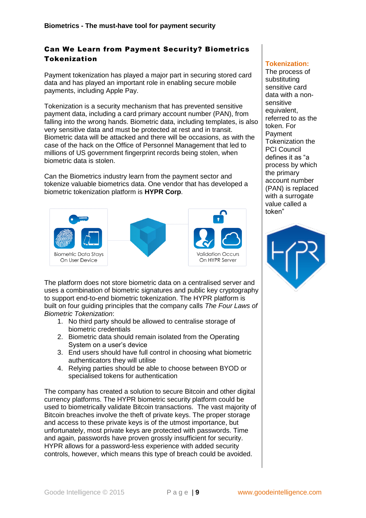### Can We Learn from Payment Security? Biometrics Tokenization

Payment tokenization has played a major part in securing stored card data and has played an important role in enabling secure mobile payments, including Apple Pay.

Tokenization is a security mechanism that has prevented sensitive payment data, including a card primary account number (PAN), from falling into the wrong hands. Biometric data, including templates, is also very sensitive data and must be protected at rest and in transit. Biometric data will be attacked and there will be occasions, as with the case of the hack on the Office of Personnel Management that led to millions of US government fingerprint records being stolen, when biometric data is stolen.

Can the Biometrics industry learn from the payment sector and tokenize valuable biometrics data. One vendor that has developed a biometric tokenization platform is **[HYPR Corp](https://www.hypr.com/)**.



The platform does not store biometric data on a centralised server and uses a combination of biometric signatures and public key cryptography to support end-to-end biometric tokenization. The HYPR platform is built on four guiding principles that the company calls *The Four Laws of Biometric Tokenization*:

- 1. No third party should be allowed to centralise storage of biometric credentials
- 2. Biometric data should remain isolated from the Operating System on a user's device
- 3. End users should have full control in choosing what biometric authenticators they will utilise
- 4. Relying parties should be able to choose between BYOD or specialised tokens for authentication

The company has created a solution to secure Bitcoin and other digital currency platforms. The HYPR biometric security platform could be used to biometrically validate Bitcoin transactions. The vast majority of Bitcoin breaches involve the theft of private keys. The proper storage and access to these private keys is of the utmost importance, but unfortunately, most private keys are protected with passwords. Time and again, passwords have proven grossly insufficient for security. HYPR allows for a password-less experience with added security controls, however, which means this type of breach could be avoided.

### **Tokenization:**

The process of substituting sensitive card data with a nonsensitive equivalent, referred to as the token. For Payment Tokenization the PCI Council defines it as "a process by which the primary account number (PAN) is replaced with a surrogate value called a token"

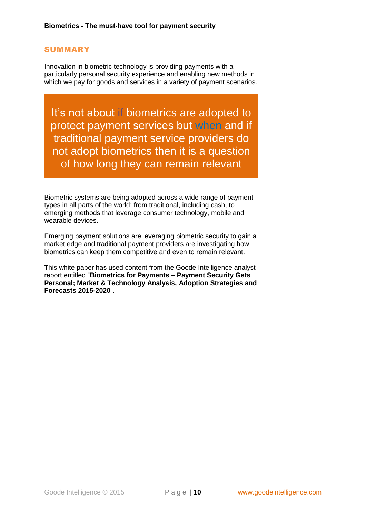### <span id="page-11-0"></span>SUMMARY

Innovation in biometric technology is providing payments with a particularly personal security experience and enabling new methods in which we pay for goods and services in a variety of payment scenarios.

It's not about if biometrics are adopted to protect payment services but when and if traditional payment service providers do not adopt biometrics then it is a question of how long they can remain relevant

Biometric systems are being adopted across a wide range of payment types in all parts of the world; from traditional, including cash, to emerging methods that leverage consumer technology, mobile and wearable devices.

Emerging payment solutions are leveraging biometric security to gain a market edge and traditional payment providers are investigating how biometrics can keep them competitive and even to remain relevant.

This white paper has used content from the Goode Intelligence analyst report entitled "**[Biometrics for Payments –](http://www.goodeintelligence.com/report-store/view/biometrics-for-payments-payment-security-gets-personal-market-technology-analysis-adoption-strategies-forecasts-20152020) Payment Security Gets [Personal; Market & Technology Analysis, Adoption Strategies and](http://www.goodeintelligence.com/report-store/view/biometrics-for-payments-payment-security-gets-personal-market-technology-analysis-adoption-strategies-forecasts-20152020)  [Forecasts 2015-2020](http://www.goodeintelligence.com/report-store/view/biometrics-for-payments-payment-security-gets-personal-market-technology-analysis-adoption-strategies-forecasts-20152020)**".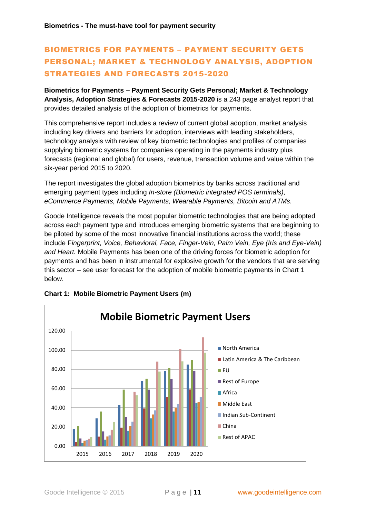# BIOMETRICS FOR PAYMENTS – PAYMENT SECURITY GETS PERSONAL; MARKET & TECHNOLOGY ANALYSIS, ADOPTION STRATEGIES AND FORECASTS 2015-2020

**Biometrics for Payments – [Payment Security Gets Personal; Market & Technology](http://www.goodeintelligence.com/report-store/view/biometrics-for-payments-payment-security-gets-personal-market-technology-analysis-adoption-strategies-forecasts-20152020)  [Analysis, Adoption Strategies & Forecasts 2015-2020](http://www.goodeintelligence.com/report-store/view/biometrics-for-payments-payment-security-gets-personal-market-technology-analysis-adoption-strategies-forecasts-20152020)** is a 243 page analyst report that provides detailed analysis of the adoption of biometrics for payments.

This comprehensive report includes a review of current global adoption, market analysis including key drivers and barriers for adoption, interviews with leading stakeholders, technology analysis with review of key biometric technologies and profiles of companies supplying biometric systems for companies operating in the payments industry plus forecasts (regional and global) for users, revenue, transaction volume and value within the six-year period 2015 to 2020.

The report investigates the global adoption biometrics by banks across traditional and emerging payment types including *In-store (Biometric integrated POS terminals), eCommerce Payments, Mobile Payments, Wearable Payments, Bitcoin and ATMs.*

Goode Intelligence reveals the most popular biometric technologies that are being adopted across each payment type and introduces emerging biometric systems that are beginning to be piloted by some of the most innovative financial institutions across the world; these include F*ingerprint, Voice, Behavioral, Face, Finger-Vein, Palm Vein, Eye (Iris and Eye-Vein) and Heart.* Mobile Payments has been one of the driving forces for biometric adoption for payments and has been in instrumental for explosive growth for the vendors that are serving this sector – see user forecast for the adoption of mobile biometric payments in Chart 1 below.



### **Chart 1: Mobile Biometric Payment Users (m)**